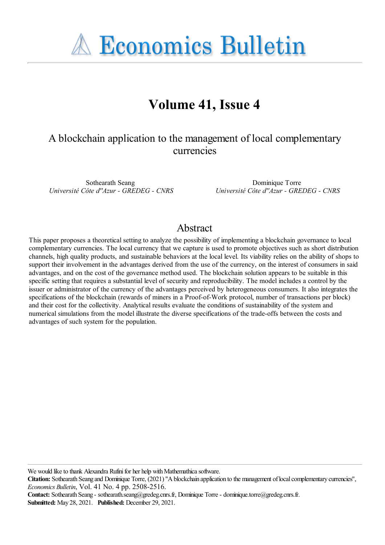**A Economics Bulletin** 

# **Volume 41, Issue 4**

# A blockchain application to the management of local complementary currencies

Sothearath Seang *Université Côte d''Azur - GREDEG - CNRS*

Dominique Torre *Université Côte d''Azur - GREDEG - CNRS*

### Abstract

This paper proposes a theoretical setting to analyze the possibility of implementing a blockchain governance to local complementary currencies. The local currency that we capture is used to promote objectives such as short distribution channels, high quality products, and sustainable behaviors at the local level. Its viability relies on the ability of shops to support their involvement in the advantages derived from the use of the currency, on the interest of consumers in said advantages, and on the cost of the governance method used. The blockchain solution appears to be suitable in this specific setting that requires a substantial level of security and reproducibility. The model includes a control by the issuer or administrator of the currency of the advantages perceived by heterogeneous consumers. It also integrates the specifications of the blockchain (rewards of miners in a Proof-of-Work protocol, number of transactions per block) and their cost for the collectivity. Analytical results evaluate the conditions of sustainability of the system and numerical simulations from the model illustrate the diverse specifications of the trade-offs between the costs and advantages of such system for the population.

We would like to thank Alexandra Rufini for her help with Mathemathica software.

**Citation:** Sothearath Seang and Dominique Torre, (2021) ''Ablockchain application to the management oflocalcomplementary currencies'', *Economics Bulletin*, Vol. 41 No. 4 pp. 2508-2516.

**Contact:** Sothearath Seang - sothearath.seang@gredeg.cnrs.fr, Dominique Torre- dominique.torre@gredeg.cnrs.fr. **Submitted:** May 28, 2021. **Published:** December 29, 2021.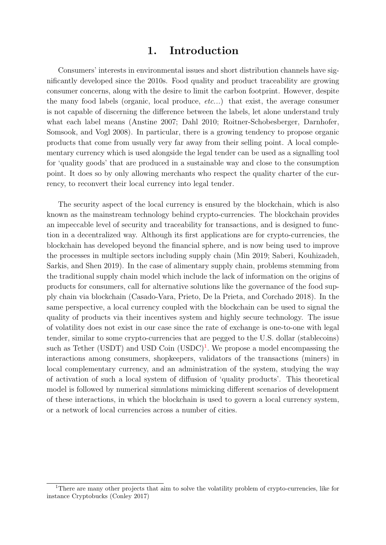## 1. Introduction

Consumers' interests in environmental issues and short distribution channels have significantly developed since the 2010s. Food quality and product traceability are growing consumer concerns, along with the desire to limit the carbon footprint. However, despite the many food labels (organic, local produce, etc...) that exist, the average consumer is not capable of discerning the difference between the labels, let alone understand truly what each label means (Anstine 2007; Dahl 2010; Roitner-Schobesberger, Darnhofer, Somsook, and Vogl 2008). In particular, there is a growing tendency to propose organic products that come from usually very far away from their selling point. A local complementary currency which is used alongside the legal tender can be used as a signalling tool for 'quality goods' that are produced in a sustainable way and close to the consumption point. It does so by only allowing merchants who respect the quality charter of the currency, to reconvert their local currency into legal tender.

The security aspect of the local currency is ensured by the blockchain, which is also known as the mainstream technology behind crypto-currencies. The blockchain provides an impeccable level of security and traceability for transactions, and is designed to function in a decentralized way. Although its first applications are for crypto-currencies, the blockchain has developed beyond the financial sphere, and is now being used to improve the processes in multiple sectors including supply chain (Min 2019; Saberi, Kouhizadeh, Sarkis, and Shen 2019). In the case of alimentary supply chain, problems stemming from the traditional supply chain model which include the lack of information on the origins of products for consumers, call for alternative solutions like the governance of the food supply chain via blockchain (Casado-Vara, Prieto, De la Prieta, and Corchado 2018). In the same perspective, a local currency coupled with the blockchain can be used to signal the quality of products via their incentives system and highly secure technology. The issue of volatility does not exist in our case since the rate of exchange is one-to-one with legal tender, similar to some crypto-currencies that are pegged to the U.S. dollar (stablecoins) such as Tether (USDT) and USD Coin  $(USDC)^1$  $(USDC)^1$ . We propose a model encompassing the interactions among consumers, shopkeepers, validators of the transactions (miners) in local complementary currency, and an administration of the system, studying the way of activation of such a local system of diffusion of 'quality products'. This theoretical model is followed by numerical simulations mimicking different scenarios of development of these interactions, in which the blockchain is used to govern a local currency system, or a network of local currencies across a number of cities.

<span id="page-1-0"></span><sup>&</sup>lt;sup>1</sup>There are many other projects that aim to solve the volatility problem of crypto-currencies, like for instance Cryptobucks (Conley 2017)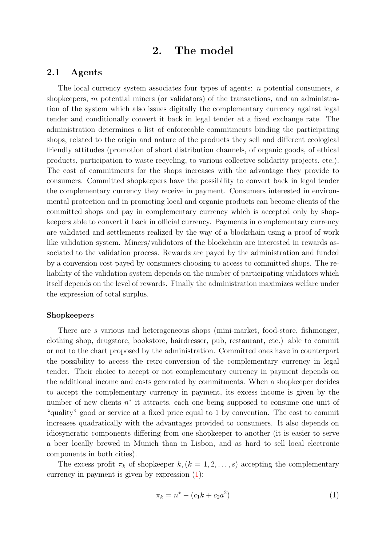### 2. The model

### 2.1 Agents

The local currency system associates four types of agents:  $n$  potential consumers,  $s$ shopkeepers,  $m$  potential miners (or validators) of the transactions, and an administration of the system which also issues digitally the complementary currency against legal tender and conditionally convert it back in legal tender at a fixed exchange rate. The administration determines a list of enforceable commitments binding the participating shops, related to the origin and nature of the products they sell and different ecological friendly attitudes (promotion of short distribution channels, of organic goods, of ethical products, participation to waste recycling, to various collective solidarity projects, etc.). The cost of commitments for the shops increases with the advantage they provide to consumers. Committed shopkeepers have the possibility to convert back in legal tender the complementary currency they receive in payment. Consumers interested in environmental protection and in promoting local and organic products can become clients of the committed shops and pay in complementary currency which is accepted only by shopkeepers able to convert it back in official currency. Payments in complementary currency are validated and settlements realized by the way of a blockchain using a proof of work like validation system. Miners/validators of the blockchain are interested in rewards associated to the validation process. Rewards are payed by the administration and funded by a conversion cost payed by consumers choosing to access to committed shops. The reliability of the validation system depends on the number of participating validators which itself depends on the level of rewards. Finally the administration maximizes welfare under the expression of total surplus.

#### Shopkeepers

There are s various and heterogeneous shops (mini-market, food-store, fishmonger, clothing shop, drugstore, bookstore, hairdresser, pub, restaurant, etc.) able to commit or not to the chart proposed by the administration. Committed ones have in counterpart the possibility to access the retro-conversion of the complementary currency in legal tender. Their choice to accept or not complementary currency in payment depends on the additional income and costs generated by commitments. When a shopkeeper decides to accept the complementary currency in payment, its excess income is given by the number of new clients  $n^*$  it attracts, each one being supposed to consume one unit of "quality" good or service at a fixed price equal to 1 by convention. The cost to commit increases quadratically with the advantages provided to consumers. It also depends on idiosyncratic components differing from one shopkeeper to another (it is easier to serve a beer locally brewed in Munich than in Lisbon, and as hard to sell local electronic components in both cities).

The excess profit  $\pi_k$  of shopkeeper  $k, (k = 1, 2, \ldots, s)$  accepting the complementary currency in payment is given by expression  $(1)$ :

<span id="page-2-0"></span>
$$
\pi_k = n^* - (c_1 k + c_2 a^2) \tag{1}
$$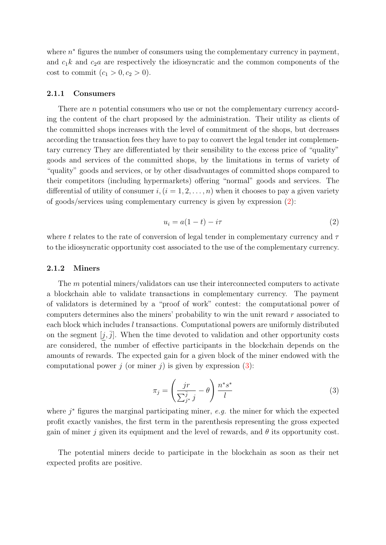where  $n^*$  figures the number of consumers using the complementary currency in payment, and  $c_1k$  and  $c_2a$  are respectively the idiosyncratic and the common components of the cost to commit  $(c_1 > 0, c_2 > 0)$ .

#### 2.1.1 Consumers

There are *n* potential consumers who use or not the complementary currency according the content of the chart proposed by the administration. Their utility as clients of the committed shops increases with the level of commitment of the shops, but decreases according the transaction fees they have to pay to convert the legal tender int complementary currency They are differentiated by their sensibility to the excess price of "quality" goods and services of the committed shops, by the limitations in terms of variety of "quality" goods and services, or by other disadvantages of committed shops compared to their competitors (including hypermarkets) offering "normal" goods and services. The differential of utility of consumer  $i,(i = 1, 2, \ldots, n)$  when it chooses to pay a given variety of goods/services using complementary currency is given by expression [\(2\)](#page-3-0):

<span id="page-3-0"></span>
$$
u_i = a(1 - t) - i\tau \tag{2}
$$

where t relates to the rate of conversion of legal tender in complementary currency and  $\tau$ to the idiosyncratic opportunity cost associated to the use of the complementary currency.

#### 2.1.2 Miners

The m potential miners/validators can use their interconnected computers to activate a blockchain able to validate transactions in complementary currency. The payment of validators is determined by a "proof of work" contest: the computational power of computers determines also the miners' probability to win the unit reward  $r$  associated to each block which includes l transactions. Computational powers are uniformly distributed on the segment  $[j, j]$ . When the time devoted to validation and other opportunity costs are considered, the number of effective participants in the blockchain depends on the amounts of rewards. The expected gain for a given block of the miner endowed with the computational power j (or miner j) is given by expression  $(3)$ :

<span id="page-3-1"></span>
$$
\pi_j = \left(\frac{jr}{\sum_{j^*}^j j} - \theta\right) \frac{n^* s^*}{l} \tag{3}
$$

where  $j^*$  figures the marginal participating miner, e.g. the miner for which the expected profit exactly vanishes, the first term in the parenthesis representing the gross expected gain of miner j given its equipment and the level of rewards, and  $\theta$  its opportunity cost.

The potential miners decide to participate in the blockchain as soon as their net expected profits are positive.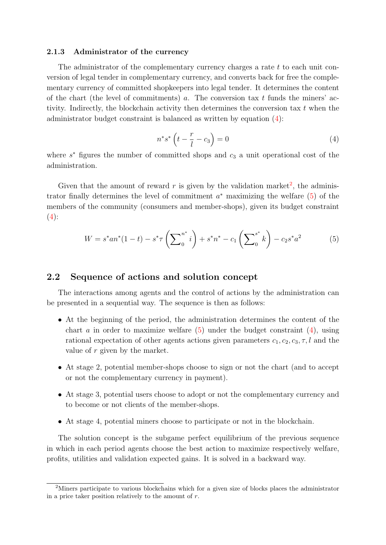#### 2.1.3 Administrator of the currency

The administrator of the complementary currency charges a rate t to each unit conversion of legal tender in complementary currency, and converts back for free the complementary currency of committed shopkeepers into legal tender. It determines the content of the chart (the level of commitments)  $a$ . The conversion tax  $t$  funds the miners' activity. Indirectly, the blockchain activity then determines the conversion tax  $t$  when the administrator budget constraint is balanced as written by equation [\(4\)](#page-4-0):

<span id="page-4-0"></span>
$$
n^*s^*\left(t-\frac{r}{l}-c_3\right)=0\tag{4}
$$

where  $s^*$  figures the number of committed shops and  $c_3$  a unit operational cost of the administration.

Given that the amount of reward  $r$  is given by the validation market<sup>[2](#page-4-1)</sup>, the administrator finally determines the level of commitment  $a^*$  maximizing the welfare  $(5)$  of the members of the community (consumers and member-shops), given its budget constraint  $(4):$  $(4):$ 

<span id="page-4-2"></span>
$$
W = s^* a n^* (1 - t) - s^* \tau \left( \sum_{0}^{n^*} i \right) + s^* n^* - c_1 \left( \sum_{0}^{s^*} k \right) - c_2 s^* a^2 \tag{5}
$$

### 2.2 Sequence of actions and solution concept

The interactions among agents and the control of actions by the administration can be presented in a sequential way. The sequence is then as follows:

- At the beginning of the period, the administration determines the content of the chart a in order to maximize welfare  $(5)$  under the budget constraint  $(4)$ , using rational expectation of other agents actions given parameters  $c_1, c_2, c_3, \tau, l$  and the value of r given by the market.
- At stage 2, potential member-shops choose to sign or not the chart (and to accept or not the complementary currency in payment).
- At stage 3, potential users choose to adopt or not the complementary currency and to become or not clients of the member-shops.
- At stage 4, potential miners choose to participate or not in the blockchain.

The solution concept is the subgame perfect equilibrium of the previous sequence in which in each period agents choose the best action to maximize respectively welfare, profits, utilities and validation expected gains. It is solved in a backward way.

<span id="page-4-1"></span><sup>&</sup>lt;sup>2</sup>Miners participate to various blockchains which for a given size of blocks places the administrator in a price taker position relatively to the amount of  $r$ .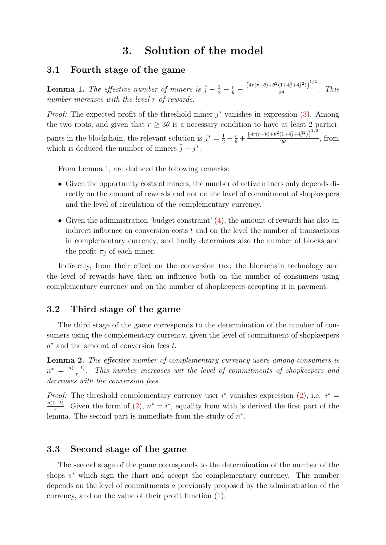### 3. Solution of the model

### 3.1 Fourth stage of the game

<span id="page-5-0"></span>**Lemma 1.** The effective number of miners is  $\bar{j} - \frac{1}{2} + \frac{r}{\theta} - \frac{(4r(r-\theta) + \theta^2(1+4\bar{j}+4\bar{j}^2))^{1/2}}{2\theta}$  $\frac{(1+4j+4j)j}{2\theta}$ . This number increases with the level r of rewards.

*Proof:* The expected profit of the threshold miner  $j^*$  vanishes in expression [\(3\)](#page-3-1). Among the two roots, and given that  $r \geq 3\theta$  is a necessary condition to have at least 2 participants in the blockchain, the relevant solution is  $j^* = \frac{1}{2} - \frac{r}{\theta} + \frac{(4r(r-\theta) + \theta^2(1+4\bar{j}+4\bar{j}^2))^{1/2}}{2\theta}$  $\frac{(1+4j+4j)j}{2\theta}$ , from which is deduced the number of miners  $\bar{j} - j^*$ .

From Lemma [1,](#page-5-0) are deduced the following remarks:

- Given the opportunity costs of miners, the number of active miners only depends directly on the amount of rewards and not on the level of commitment of shopkeepers and the level of circulation of the complementary currency.
- Given the administration 'budget constraint'  $(4)$ , the amount of rewards has also an indirect influence on conversion costs t and on the level the number of transactions in complementary currency, and finally determines also the number of blocks and the profit  $\pi_j$  of each miner.

Indirectly, from their effect on the conversion tax, the blockchain technology and the level of rewards have then an influence both on the number of consumers using complementary currency and on the number of shopkeepers accepting it in payment.

### 3.2 Third stage of the game

The third stage of the game corresponds to the determination of the number of consumers using the complementary currency, given the level of commitment of shopkeepers  $a^*$  and the amount of conversion fees  $t$ .

<span id="page-5-1"></span>Lemma 2. The effective number of complementary currency users among consumers is  $n^* = \frac{a(1-t)}{\tau}$  $\frac{1-t_1}{\tau}$ . This number increases wit the level of commitments of shopkeepers and decreases with the conversion fees.

*Proof:* The threshold complementary currency user  $i^*$  vanishes expression [\(2\)](#page-3-0), i.e.  $i^* =$  $a(1-t)$  $\frac{(1-t)}{\tau}$ . Given the form of [\(2\)](#page-3-0),  $n^* = i^*$ , equality from with is derived the first part of the lemma. The second part is immediate from the study of  $n^*$ .

### 3.3 Second stage of the game

The second stage of the game corresponds to the determination of the number of the shops  $s^*$  which sign the chart and accept the complementary currency. This number depends on the level of commitments a previously proposed by the administration of the currency, and on the value of their profit function [\(1\)](#page-2-0).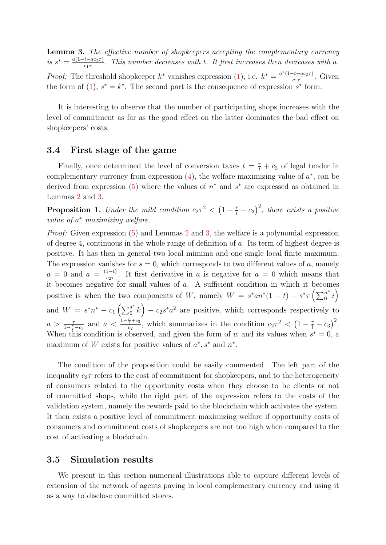<span id="page-6-0"></span>**Lemma 3.** The effective number of shopkeepers accepting the complementary currency is  $s^* = \frac{a(1-t-ac_2\tau)}{c_1\tau}$  $\frac{t - ac_2 \tau}{c_1 \tau}$ . This number decreases with t. It first increases then decreases with a. *Proof:* The threshold shopkeeper  $k^*$  vanishes expression [\(1\)](#page-2-0), i.e.  $k^* = \frac{a^*(1-t-a c_2 \tau)}{c_1 \tau}$  $\frac{-t - ac_2\tau_j}{c_1\tau}$ . Given the form of [\(1\)](#page-2-0),  $s^* = k^*$ . The second part is the consequence of expression  $s^*$  form.

It is interesting to observe that the number of participating shops increases with the level of commitment as far as the good effect on the latter dominates the bad effect on shopkeepers' costs.

### 3.4 First stage of the game

Finally, once determined the level of conversion taxes  $t = \frac{r}{l} + c_3$  of legal tender in complementary currency from expression  $(4)$ , the welfare maximizing value of  $a^*$ , can be derived from expression  $(5)$  where the values of  $n^*$  and  $s^*$  are expressed as obtained in Lemmas [2](#page-5-1) and [3.](#page-6-0)

**Proposition 1.** Under the mild condition  $c_2\tau^2 < (1 - \frac{r}{l} - c_3)^2$ , there exists a positive value of  $a^*$  maximizing welfare.

Proof: Given expression [\(5\)](#page-4-2) and Lemmas [2](#page-5-1) and [3,](#page-6-0) the welfare is a polynomial expression of degree 4, continuous in the whole range of definition of a. Its term of highest degree is positive. It has then in general two local mimima and one single local finite maximum. The expression vanishes for  $s = 0$ , which corresponds to two different values of a, namely  $a = 0$  and  $a = \frac{(1-t)}{c_2 \tau}$  $\frac{1-t}{c_2\tau}$ . It first derivative in a is negative for  $a = 0$  which means that it becomes negative for small values of a. A sufficient condition in which it becomes positive is when the two components of W, namely  $W = s^* a n^* (1-t) - s^* \tau \left( \sum_0^{n^*} i \right)$ and  $W = s^*n^* - c_1 \left( \sum_0^{s^*} \right)$  $\binom{s^*}{0}$  –  $c_2s^*a^2$  are positive, which corresponds respectively to  $a > \frac{\tau}{1-\frac{r}{l}-c_3}$  and  $a < \frac{1-\frac{r}{l}+c_3}{c_2}$  $\frac{r}{c_2} + c_3$ , which summarizes in the condition  $c_2\tau^2 < (1 - \frac{r}{l} - c_3)^2$ . When this condition is observed, and given the form of w and its values when  $s^* = 0$ , a maximum of W exists for positive values of  $a^*$ ,  $s^*$  and  $n^*$ .

The condition of the proposition could be easily commented. The left part of the inequality  $c_2\tau$  refers to the cost of commitment for shopkeepers, and to the heterogeneity of consumers related to the opportunity costs when they choose to be clients or not of committed shops, while the right part of the expression refers to the costs of the validation system, namely the rewards paid to the blockchain which activates the system. It then exists a positive level of commitment maximizing welfare if opportunity costs of consumers and commitment costs of shopkeepers are not too high when compared to the cost of activating a blockchain.

#### 3.5 Simulation results

We present in this section numerical illustrations able to capture different levels of extension of the network of agents paying in local complementary currency and using it as a way to disclose committed stores.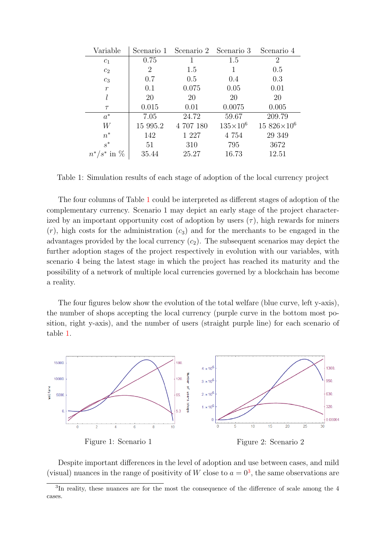| Variable            | Scenario 1 | Scenario 2 Scenario 3 |                     | Scenario 4           |
|---------------------|------------|-----------------------|---------------------|----------------------|
| c <sub>1</sub>      | 0.75       |                       | 1.5                 | 2                    |
| $c_2$               | 2          | 1.5                   |                     | 0.5                  |
| $c_3$               | 0.7        | 0.5                   | 0.4                 | 0.3                  |
| $\,r$               | 0.1        | 0.075                 | 0.05                | 0.01                 |
|                     | 20         | 20                    | 20                  | 20                   |
| $\tau$              | 0.015      | 0.01                  | 0.0075              | 0.005                |
| $a^*$               | 7.05       | 24.72                 | 59.67               | 209.79               |
| W                   | 15 995.2   | 4 707 180             | $135 \times 10^{6}$ | $15.826\times10^{6}$ |
| $n^*$               | 142        | 1 2 2 7               | 4 754               | 29 349               |
| $s^*$               | 51         | 310                   | 795                 | 3672                 |
| in $%$<br>$n^*/s^*$ | 35.44      | 25.27                 | 16.73               | 12.51                |

<span id="page-7-0"></span>Table 1: Simulation results of each stage of adoption of the local currency project

The four columns of Table [1](#page-7-0) could be interpreted as different stages of adoption of the complementary currency. Scenario 1 may depict an early stage of the project characterized by an important opportunity cost of adoption by users  $(\tau)$ , high rewards for miners  $(r)$ , high costs for the administration  $(c_3)$  and for the merchants to be engaged in the advantages provided by the local currency  $(c_2)$ . The subsequent scenarios may depict the further adoption stages of the project respectively in evolution with our variables, with scenario 4 being the latest stage in which the project has reached its maturity and the possibility of a network of multiple local currencies governed by a blockchain has become a reality.

The four figures below show the evolution of the total welfare (blue curve, left y-axis), the number of shops accepting the local currency (purple curve in the bottom most position, right y-axis), and the number of users (straight purple line) for each scenario of table [1.](#page-7-0)



Despite important differences in the level of adoption and use between cases, and mild (visual) nuances in the range of positivity of W close to  $a = 0<sup>3</sup>$  $a = 0<sup>3</sup>$  $a = 0<sup>3</sup>$ , the same observations are

<span id="page-7-1"></span><sup>&</sup>lt;sup>3</sup>In reality, these nuances are for the most the consequence of the difference of scale among the 4 cases.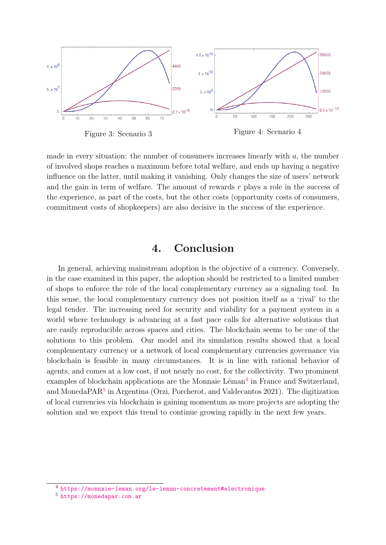

Figure 3: Scenario 3 Figure 4: Scenario 4

made in every situation: the number of consumers increases linearly with  $a$ , the number of involved shops reaches a maximum before total welfare, and ends up having a negative influence on the latter, until making it vanishing. Only changes the size of users' network and the gain in term of welfare. The amount of rewards  $r$  plays a role in the success of the experience, as part of the costs, but the other costs (opportunity costs of consumers, commitment costs of shopkeepers) are also decisive in the success of the experience.

# 4. Conclusion

In general, achieving mainstream adoption is the objective of a currency. Conversely, in the case examined in this paper, the adoption should be restricted to a limited number of shops to enforce the role of the local complementary currency as a signaling tool. In this sense, the local complementary currency does not position itself as a 'rival' to the legal tender. The increasing need for security and viability for a payment system in a world where technology is advancing at a fast pace calls for alternative solutions that are easily reproducible across spaces and cities. The blockchain seems to be one of the solutions to this problem. Our model and its simulation results showed that a local complementary currency or a network of local complementary currencies governance via blockchain is feasible in many circumstances. It is in line with rational behavior of agents, and comes at a low cost, if not nearly no cost, for the collectivity. Two prominent examples of blockchain applications are the Monnaie Léman<sup>[4](#page-8-0)</sup> in France and Switzerland, and MonedaPAR<sup>[5](#page-8-1)</sup> in Argentina (Orzi, Porcherot, and Valdecantos 2021). The digitization of local currencies via blockchain is gaining momentum as more projects are adopting the solution and we expect this trend to continue growing rapidly in the next few years.

<span id="page-8-0"></span><sup>4</sup> <https://monnaie-leman.org/le-leman-concretement#electronique>

<span id="page-8-1"></span><sup>5</sup> <https://monedapar.com.ar>